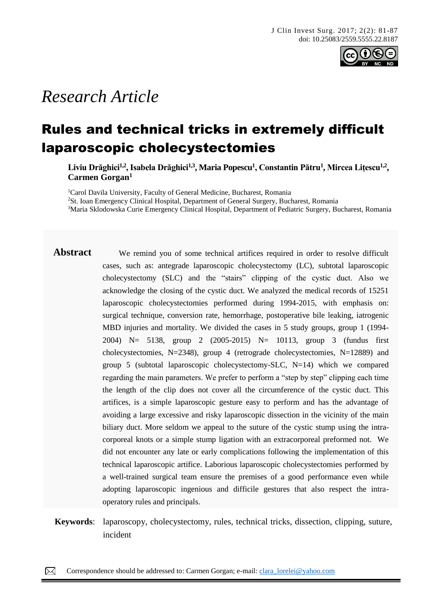

# *Research Article*

## Rules and technical tricks in extremely difficult laparoscopic cholecystectomies

**Liviu Drăghici1,2, Isabela Drăghici1,3, Maria Popescu<sup>1</sup> , Constantin Pătru<sup>1</sup> , Mircea Lițescu1,2 , Carmen Gorgan<sup>1</sup>**

<sup>1</sup>Carol Davila University, Faculty of General Medicine, Bucharest, Romania <sup>2</sup>St. Ioan Emergency Clinical Hospital, Department of General Surgery, Bucharest, Romania <sup>3</sup>Maria Sklodowska Curie Emergency Clinical Hospital, Department of Pediatric Surgery, Bucharest, Romania

- Abstract We remind you of some technical artifices required in order to resolve difficult cases, such as: antegrade laparoscopic cholecystectomy (LC), subtotal laparoscopic cholecystectomy (SLC) and the "stairs" clipping of the cystic duct. Also we acknowledge the closing of the cystic duct. We analyzed the medical records of 15251 laparoscopic cholecystectomies performed during 1994-2015, with emphasis on: surgical technique, conversion rate, hemorrhage, postoperative bile leaking, iatrogenic MBD injuries and mortality. We divided the cases in 5 study groups, group 1 (1994- 2004) N= 5138, group 2 (2005-2015) N= 10113, group 3 (fundus first cholecystectomies, N=2348), group 4 (retrograde cholecystectomies, N=12889) and group 5 (subtotal laparoscopic cholecystectomy-SLC,  $N=14$ ) which we compared regarding the main parameters. We prefer to perform a "step by step" clipping each time the length of the clip does not cover all the circumference of the cystic duct. This artifices, is a simple laparoscopic gesture easy to perform and has the advantage of avoiding a large excessive and risky laparoscopic dissection in the vicinity of the main biliary duct. More seldom we appeal to the suture of the cystic stump using the intracorporeal knots or a simple stump ligation with an extracorporeal preformed not. We did not encounter any late or early complications following the implementation of this technical laparoscopic artifice. Laborious laparoscopic cholecystectomies performed by a well-trained surgical team ensure the premises of a good performance even while adopting laparoscopic ingenious and difficile gestures that also respect the intraoperatory rules and principals.
- **Keywords**: laparoscopy, cholecystectomy, rules, technical tricks, dissection, clipping, suture, incident

Correspondence should be addressed to: Carmen Gorgan; e-mail: [clara\\_lorelei@yahoo.com](mailto:clara_lorelei@yahoo.com)  $\boxtimes$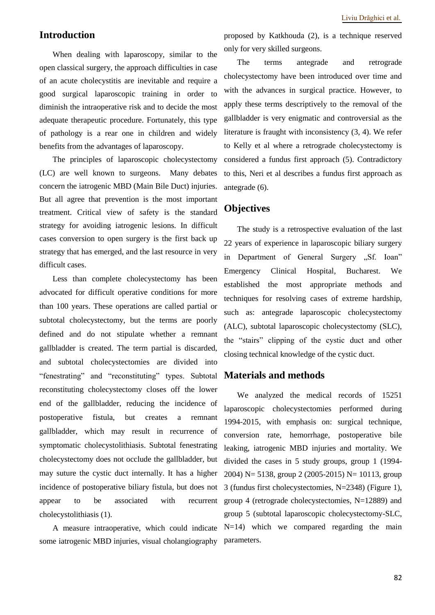### **Introduction**

When dealing with laparoscopy, similar to the open classical surgery, the approach difficulties in case of an acute cholecystitis are inevitable and require a good surgical laparoscopic training in order to diminish the intraoperative risk and to decide the most adequate therapeutic procedure. Fortunately, this type of pathology is a rear one in children and widely benefits from the advantages of laparoscopy.

The principles of laparoscopic cholecystectomy (LC) are well known to surgeons. Many debates concern the iatrogenic MBD (Main Bile Duct) injuries. But all agree that prevention is the most important treatment. Critical view of safety is the standard strategy for avoiding iatrogenic lesions. In difficult cases conversion to open surgery is the first back up strategy that has emerged, and the last resource in very difficult cases.

Less than complete cholecystectomy has been advocated for difficult operative conditions for more than 100 years. These operations are called partial or subtotal cholecystectomy, but the terms are poorly defined and do not stipulate whether a remnant gallbladder is created. The term partial is discarded, and subtotal cholecystectomies are divided into "fenestrating" and "reconstituting" types. Subtotal reconstituting cholecystectomy closes off the lower end of the gallbladder, reducing the incidence of postoperative fistula, but creates a remnant gallbladder, which may result in recurrence of symptomatic cholecystolithiasis. Subtotal fenestrating cholecystectomy does not occlude the gallbladder, but may suture the cystic duct internally. It has a higher incidence of postoperative biliary fistula, but does not appear to be associated with recurrent cholecystolithiasis (1).

A measure intraoperative, which could indicate some iatrogenic MBD injuries, visual cholangiography

proposed by Katkhouda (2), is a technique reserved only for very skilled surgeons.

The terms antegrade and retrograde cholecystectomy have been introduced over time and with the advances in surgical practice. However, to apply these terms descriptively to the removal of the gallbladder is very enigmatic and controversial as the literature is fraught with inconsistency (3, 4). We refer to Kelly et al where a retrograde cholecystectomy is considered a fundus first approach (5). Contradictory to this, Neri et al describes a fundus first approach as antegrade (6).

#### **Objectives**

The study is a retrospective evaluation of the last 22 years of experience in laparoscopic biliary surgery in Department of General Surgery "Sf. Ioan" Emergency Clinical Hospital, Bucharest. We established the most appropriate methods and techniques for resolving cases of extreme hardship, such as: antegrade laparoscopic cholecystectomy (ALC), subtotal laparoscopic cholecystectomy (SLC), the "stairs" clipping of the cystic duct and other closing technical knowledge of the cystic duct.

#### **Materials and methods**

We analyzed the medical records of 15251 laparoscopic cholecystectomies performed during 1994-2015, with emphasis on: surgical technique, conversion rate, hemorrhage, postoperative bile leaking, iatrogenic MBD injuries and mortality. We divided the cases in 5 study groups, group 1 (1994- 2004) N= 5138, group 2 (2005-2015) N= 10113, group 3 (fundus first cholecystectomies, N=2348) (Figure 1), group 4 (retrograde cholecystectomies, N=12889) and group 5 (subtotal laparoscopic cholecystectomy-SLC,  $N=14$ ) which we compared regarding the main parameters.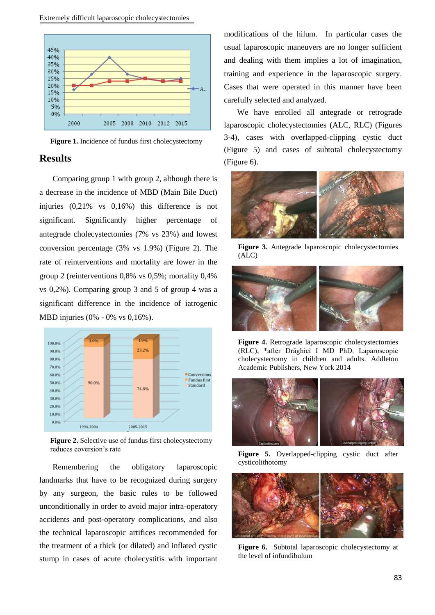

**Figure 1.** Incidence of fundus first cholecystectomy

#### **Results**

Comparing group 1 with group 2, although there is a decrease in the incidence of MBD (Main Bile Duct) injuries (0,21% vs 0,16%) this difference is not significant. Significantly higher percentage of antegrade cholecystectomies (7% vs 23%) and lowest conversion percentage (3% vs 1.9%) (Figure 2). The rate of reinterventions and mortality are lower in the group 2 (reinterventions 0,8% vs 0,5%; mortality 0,4% vs 0,2%). Comparing group 3 and 5 of group 4 was a significant difference in the incidence of iatrogenic MBD injuries (0% - 0% vs 0,16%).



**Figure 2.** Selective use of fundus first cholecystectomy reduces coversion's rate

Remembering the obligatory laparoscopic landmarks that have to be recognized during surgery by any surgeon, the basic rules to be followed unconditionally in order to avoid major intra-operatory accidents and post-operatory complications, and also the technical laparoscopic artifices recommended for the treatment of a thick (or dilated) and inflated cystic stump in cases of acute cholecystitis with important

modifications of the hilum. In particular cases the usual laparoscopic maneuvers are no longer sufficient and dealing with them implies a lot of imagination, training and experience in the laparoscopic surgery. Cases that were operated in this manner have been carefully selected and analyzed.

We have enrolled all antegrade or retrograde laparoscopic cholecystectomies (ALC, RLC) (Figures 3-4), cases with overlapped-clipping cystic duct (Figure 5) and cases of subtotal cholecystectomy (Figure 6).



**Figure 3.** Antegrade laparoscopic cholecystectomies (ALC)



**Figure 4.** Retrograde laparoscopic cholecystectomies (RLC), \*after Drăghici I MD PhD. Laparoscopic cholecystectomy in children and adults. Addleton Academic Publishers, New York 2014



**Figure 5.** Overlapped-clipping cystic duct after cysticolithotomy



**Figure 6.** Subtotal laparoscopic cholecystectomy at the level of infundibulum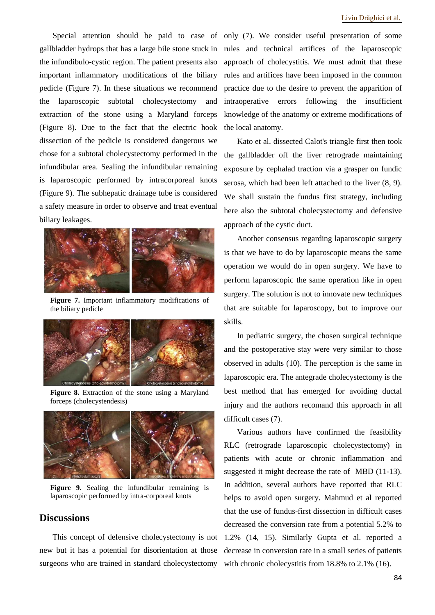Special attention should be paid to case of only (7). We consider useful presentation of some gallbladder hydrops that has a large bile stone stuck in the infundibulo-cystic region. The patient presents also important inflammatory modifications of the biliary pedicle (Figure 7). In these situations we recommend the laparoscopic subtotal cholecystectomy and extraction of the stone using a Maryland forceps (Figure 8). Due to the fact that the electric hook dissection of the pedicle is considered dangerous we chose for a subtotal cholecystectomy performed in the infundibular area. Sealing the infundibular remaining is laparoscopic performed by intracorporeal knots (Figure 9). The subhepatic drainage tube is considered a safety measure in order to observe and treat eventual biliary leakages.



**Figure 7.** Important inflammatory modifications of the biliary pedicle



**Figure 8.** Extraction of the stone using a Maryland forceps (cholecystendesis)



**Figure 9.** Sealing the infundibular remaining is laparoscopic performed by intra-corporeal knots

#### **Discussions**

This concept of defensive cholecystectomy is not new but it has a potential for disorientation at those surgeons who are trained in standard cholecystectomy

rules and technical artifices of the laparoscopic approach of cholecystitis. We must admit that these rules and artifices have been imposed in the common practice due to the desire to prevent the apparition of intraoperative errors following the insufficient knowledge of the anatomy or extreme modifications of the local anatomy.

Kato et al. dissected Calot's triangle first then took the gallbladder off the liver retrograde maintaining exposure by cephalad traction via a grasper on fundic serosa, which had been left attached to the liver (8, 9). We shall sustain the fundus first strategy, including here also the subtotal cholecystectomy and defensive approach of the cystic duct.

Another consensus regarding laparoscopic surgery is that we have to do by laparoscopic means the same operation we would do in open surgery. We have to perform laparoscopic the same operation like in open surgery. The solution is not to innovate new techniques that are suitable for laparoscopy, but to improve our skills.

In pediatric surgery, the chosen surgical technique and the postoperative stay were very similar to those observed in adults (10). The perception is the same in laparoscopic era. The antegrade cholecystectomy is the best method that has emerged for avoiding ductal injury and the authors recomand this approach in all difficult cases (7).

Various authors have confirmed the feasibility RLC (retrograde laparoscopic cholecystectomy) in patients with acute or chronic inflammation and suggested it might decrease the rate of MBD (11-13). In addition, several authors have reported that RLC helps to avoid open surgery. Mahmud et al reported that the use of fundus-first dissection in difficult cases decreased the conversion rate from a potential 5.2% to 1.2% (14, 15). Similarly Gupta et al. reported a decrease in conversion rate in a small series of patients with chronic cholecystitis from 18.8% to 2.1% (16).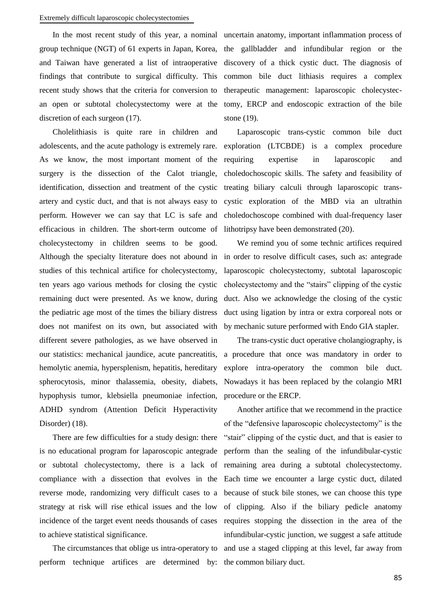#### Extremely difficult laparoscopic cholecystectomies

In the most recent study of this year, a nominal uncertain anatomy, important inflammation process of group technique (NGT) of 61 experts in Japan, Korea, and Taiwan have generated a list of intraoperative findings that contribute to surgical difficulty. This recent study shows that the criteria for conversion to an open or subtotal cholecystectomy were at the discretion of each surgeon (17).

Cholelithiasis is quite rare in children and adolescents, and the acute pathology is extremely rare. As we know, the most important moment of the surgery is the dissection of the Calot triangle, identification, dissection and treatment of the cystic artery and cystic duct, and that is not always easy to perform. However we can say that LC is safe and efficacious in children. The short-term outcome of cholecystectomy in children seems to be good. Although the specialty literature does not abound in in order to resolve difficult cases, such as: antegrade studies of this technical artifice for cholecystectomy, ten years ago various methods for closing the cystic remaining duct were presented. As we know, during the pediatric age most of the times the biliary distress does not manifest on its own, but associated with different severe pathologies, as we have observed in our statistics: mechanical jaundice, acute pancreatitis, hemolytic anemia, hypersplenism, hepatitis, hereditary spherocytosis, minor thalassemia, obesity, diabets, hypophysis tumor, klebsiella pneumoniae infection, ADHD syndrom (Attention Deficit Hyperactivity Disorder) (18).

There are few difficulties for a study design: there is no educational program for laparoscopic antegrade or subtotal cholecystectomy, there is a lack of compliance with a dissection that evolves in the reverse mode, randomizing very difficult cases to a strategy at risk will rise ethical issues and the low incidence of the target event needs thousands of cases to achieve statistical significance.

perform technique artifices are determined by: the common biliary duct.

the gallbladder and infundibular region or the discovery of a thick cystic duct. The diagnosis of common bile duct lithiasis requires a complex therapeutic management: laparoscopic cholecystectomy, ERCP and endoscopic extraction of the bile stone (19).

Laparoscopic trans-cystic common bile duct exploration (LTCBDE) is a complex procedure requiring expertise in laparoscopic and choledochoscopic skills. The safety and feasibility of treating biliary calculi through laparoscopic transcystic exploration of the MBD via an ultrathin choledochoscope combined with dual-frequency laser lithotripsy have been demonstrated (20).

We remind you of some technic artifices required laparoscopic cholecystectomy, subtotal laparoscopic cholecystectomy and the "stairs" clipping of the cystic duct. Also we acknowledge the closing of the cystic duct using ligation by intra or extra corporeal nots or by mechanic suture performed with Endo GIA stapler.

The trans-cystic duct operative cholangiography, is a procedure that once was mandatory in order to explore intra-operatory the common bile duct. Nowadays it has been replaced by the colangio MRI procedure or the ERCP.

The circumstances that oblige us intra-operatory to and use a staged clipping at this level, far away from Another artifice that we recommend in the practice of the "defensive laparoscopic cholecystectomy" is the "stair" clipping of the cystic duct, and that is easier to perform than the sealing of the infundibular-cystic remaining area during a subtotal cholecystectomy. Each time we encounter a large cystic duct, dilated because of stuck bile stones, we can choose this type of clipping. Also if the biliary pedicle anatomy requires stopping the dissection in the area of the infundibular-cystic junction, we suggest a safe attitude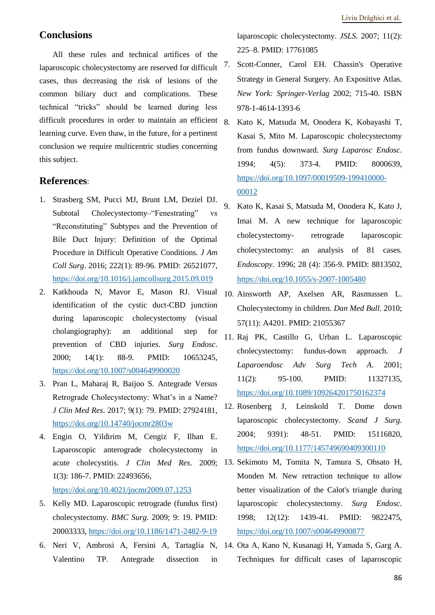#### **Conclusions**

All these rules and technical artifices of the laparoscopic cholecystectomy are reserved for difficult cases, thus decreasing the risk of lesions of the common biliary duct and complications. These technical "tricks" should be learned during less difficult procedures in order to maintain an efficient  $\beta$ learning curve. Even thaw, in the future, for a pertinent conclusion we require multicentric studies concerning this subject.

#### **References**:

- 1. Strasberg SM, Pucci MJ, Brunt LM, Deziel DJ. Subtotal Cholecystectomy–"Fenestrating" "Reconstituting" Subtypes and the Prevention of Bile Duct Injury: Definition of the Optimal Procedure in Difficult Operative Conditions. *J Am Coll Surg*. 2016; 222(1): 89-96. PMID: 26521077, <https://doi.org/10.1016/j.jamcollsurg.2015.09.019>
- 2. Katkhouda N, Mavor E, Mason RJ. Visual identification of the cystic duct-CBD junction during laparoscopic cholecystectomy (visual cholangiography): an additional step for prevention of CBD injuries. *Surg Endosc*. 2000; 14(1): 88-9. PMID: 10653245, <https://doi.org/10.1007/s004649900020>
- 3. Pran L, Maharaj R, Baijoo S. Antegrade Versus Retrograde Cholecystectomy: What's in a Name? *J Clin Med Res*. 2017; 9(1): 79. PMID: 27924181, <https://doi.org/10.14740/jocmr2803w>
- 4. Engin O, Yildirim M, Cengiz F, Ilhan E. Laparoscopic anterograde cholecystectomy in acute cholecystitis. *J Clin Med Res*. 2009; 1(3): 186-7. PMID: 22493656, <https://doi.org/10.4021/jocmr2009.07.1253>
- 5. Kelly MD. Laparoscopic retrograde (fundus first) cholecystectomy. *BMC Surg*. 2009; 9: 19. PMID: 20003333,<https://doi.org/10.1186/1471-2482-9-19>
- 6. Neri V, Ambrosi A, Fersini A, Tartaglia N, 14. Ota A, Kano N, Kusanagi H, Yamada S, Garg A. Valentino TP. Antegrade dissection in

laparoscopic cholecystectomy. *JSLS*. 2007; 11(2): 225–8. PMID: 17761085

- 7. Scott-Conner, Carol EH. Chassin's Operative Strategy in General Surgery. An Expositive Atlas. *New York: Springer-Verlag* 2002; 715-40. ISBN 978-1-4614-1393-6
- 8. Kato K, Matsuda M, Onodera K, Kobayashi T, Kasai S, Mito M. Laparoscopic cholecystectomy from fundus downward. *Surg Laparosc Endosc*. 1994; 4(5): 373-4. PMID: 8000639, [https://doi.org/10.1097/00019509-199410000-](https://doi.org/10.1097/00019509-199410000-00012) [00012](https://doi.org/10.1097/00019509-199410000-00012)
- 9. Kato K, Kasai S, Matsuda M, Onodera K, Kato J, Imai M. A new technique for laparoscopic cholecystectomy- retrograde laparoscopic cholecystectomy: an analysis of 81 cases. *Endoscopy*. 1996; 28 (4): 356-9. PMID: 8813502, <https://doi.org/10.1055/s-2007-1005480>
- 10. Ainsworth AP, Axelsen AR, Rasmussen L. Cholecystectomy in children. *Dan Med Bull.* 2010; 57(11): A4201. PMID: 21055367
- 11. Raj PK, Castillo G, Urban L. Laparoscopic cholecystectomy: fundus-down approach. *J Laparoendosc Adv Surg Tech A*. 2001; 11(2): 95-100. PMID: 11327135, <https://doi.org/10.1089/109264201750162374>
- 12. Rosenberg J, Leinskold T. Dome down laparoscopic cholecystectomy. *Scand J Surg*. 2004; 9391): 48-51. PMID: 15116820, <https://doi.org/10.1177/145749690409300110>
- 13. Sekimoto M, Tomita N, Tamura S, Ohsato H, Monden M. New retraction technique to allow better visualization of the Calot's triangle during laparoscopic cholecystectomy. *Surg Endosc*. 1998; 12(12): 1439-41. PMID: 9822475, <https://doi.org/10.1007/s004649900877>
- Techniques for difficult cases of laparoscopic